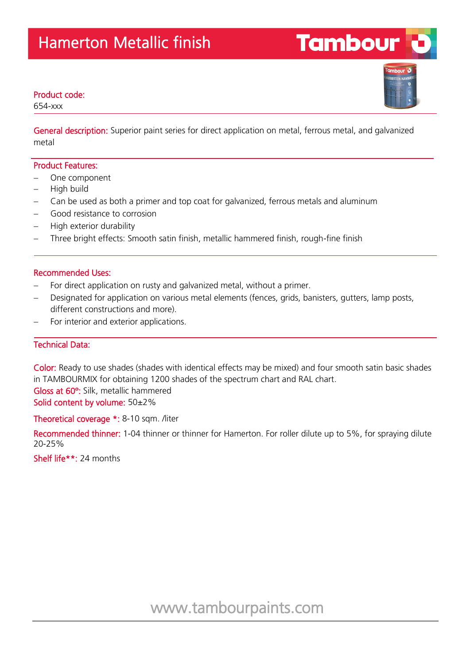### Product code:

654-xxx

General description: Superior paint series for direct application on metal, ferrous metal, and galvanized metal

#### Product Features:

- One component
- High build
- Can be used as both a primer and top coat for galvanized, ferrous metals and aluminum
- Good resistance to corrosion
- High exterior durability
- Three bright effects: Smooth satin finish, metallic hammered finish, rough-fine finish

#### Recommended Uses:

- For direct application on rusty and galvanized metal, without a primer.
- Designated for application on various metal elements (fences, grids, banisters, gutters, lamp posts, different constructions and more).
- For interior and exterior applications.

## Technical Data:

Color: Ready to use shades (shades with identical effects may be mixed) and four smooth satin basic shades in TAMBOURMIX for obtaining 1200 shades of the spectrum chart and RAL chart. Gloss at 60º: Silk, metallic hammered Solid content by volume: 50±2%

Theoretical coverage \*: 8-10 sqm. /liter

Recommended thinner: 1-04 thinner or thinner for Hamerton. For roller dilute up to 5%, for spraying dilute 20-25%

Shelf life\*\*: 24 months



**Tambour**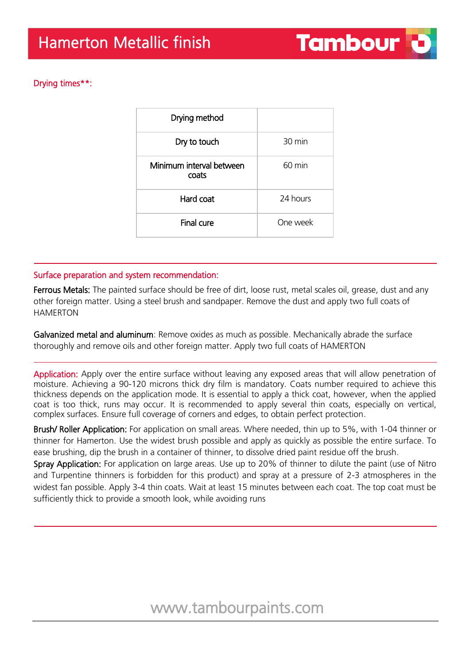# Drying times\*\*:

| 30 min           |
|------------------|
| $60 \text{ min}$ |
| 24 hours         |
| One week         |
|                  |

## Surface preparation and system recommendation:

Ferrous Metals: The painted surface should be free of dirt, loose rust, metal scales oil, grease, dust and any other foreign matter. Using a steel brush and sandpaper. Remove the dust and apply two full coats of HAMERTON

Galvanized metal and aluminum: Remove oxides as much as possible. Mechanically abrade the surface thoroughly and remove oils and other foreign matter. Apply two full coats of HAMERTON

Application: Apply over the entire surface without leaving any exposed areas that will allow penetration of moisture. Achieving a 90-120 microns thick dry film is mandatory. Coats number required to achieve this thickness depends on the application mode. It is essential to apply a thick coat, however, when the applied coat is too thick, runs may occur. It is recommended to apply several thin coats, especially on vertical, complex surfaces. Ensure full coverage of corners and edges, to obtain perfect protection.

Brush/ Roller Application: For application on small areas. Where needed, thin up to 5%, with 1-04 thinner or thinner for Hamerton. Use the widest brush possible and apply as quickly as possible the entire surface. To ease brushing, dip the brush in a container of thinner, to dissolve dried paint residue off the brush.

Spray Application: For application on large areas. Use up to 20% of thinner to dilute the paint (use of Nitro and Turpentine thinners is forbidden for this product) and spray at a pressure of 2-3 atmospheres in the widest fan possible. Apply 3-4 thin coats. Wait at least 15 minutes between each coat. The top coat must be sufficiently thick to provide a smooth look, while avoiding runs